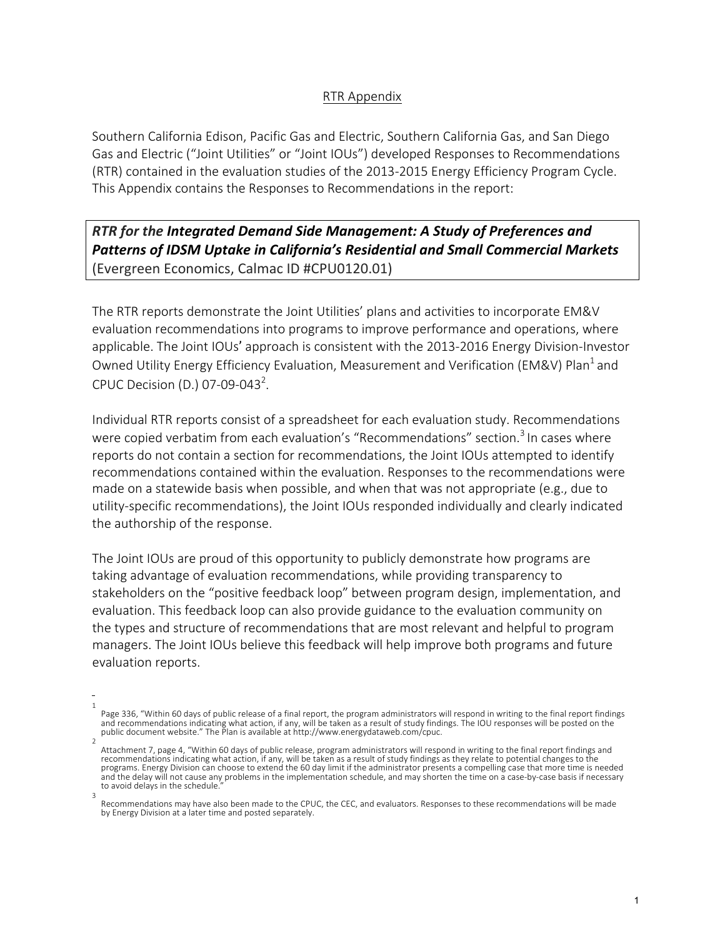## RTR Appendix

Southern California Edison, Pacific Gas and Electric, Southern California Gas, and San Diego Gas and Electric ("Joint Utilities" or "Joint IOUs") developed Responses to Recommendations (RTR) contained in the evaluation studies of the 2013-2015 Energy Efficiency Program Cycle. This Appendix contains the Responses to Recommendations in the report:

## **RTR** for the Integrated Demand Side Management: A Study of Preferences and **Patterns of IDSM Uptake in California's Residential and Small Commercial Markets** (Evergreen Economics, Calmac ID #CPU0120.01)

The RTR reports demonstrate the Joint Utilities' plans and activities to incorporate EM&V evaluation recommendations into programs to improve performance and operations, where applicable. The Joint IOUs' approach is consistent with the 2013-2016 Energy Division-Investor Owned Utility Energy Efficiency Evaluation, Measurement and Verification (EM&V) Plan<sup>1</sup> and CPUC Decision (D.) 07-09-043<sup>2</sup>.

Individual RTR reports consist of a spreadsheet for each evaluation study. Recommendations were copied verbatim from each evaluation's "Recommendations" section.<sup>3</sup> In cases where reports do not contain a section for recommendations, the Joint IOUs attempted to identify recommendations contained within the evaluation. Responses to the recommendations were made on a statewide basis when possible, and when that was not appropriate (e.g., due to utility-specific recommendations), the Joint IOUs responded individually and clearly indicated the authorship of the response.

The Joint IOUs are proud of this opportunity to publicly demonstrate how programs are taking advantage of evaluation recommendations, while providing transparency to stakeholders on the "positive feedback loop" between program design, implementation, and evaluation. This feedback loop can also provide guidance to the evaluation community on the types and structure of recommendations that are most relevant and helpful to program managers. The Joint IOUs believe this feedback will help improve both programs and future evaluation reports.

<sup>1</sup> Page 336, "Within 60 days of public release of a final report, the program administrators will respond in writing to the final report findings and recommendations indicating what action, if any, will be taken as a result of study findings. The IOU responses will be posted on the<br>public document website." The Plan is available at http://www.energydataweb.com/cpuc.

<sup>2</sup> Attachment 7, page 4, "Within 60 days of public release, program administrators will respond in writing to the final report findings and recommendations indicating what action, if any, will be taken as a result of study findings as they relate to potential changes to the<br>programs. Energy Division can choose to extend the 60 day limit if the administrator pr and the delay will not cause any problems in the implementation schedule, and may shorten the time on a case-by-case basis if necessary to avoid delays in the schedule.

<sup>3</sup> Recommendations may have also been made to the CPUC, the CEC, and evaluators. Responses to these recommendations will be made by Energy Division at a later time and posted separately.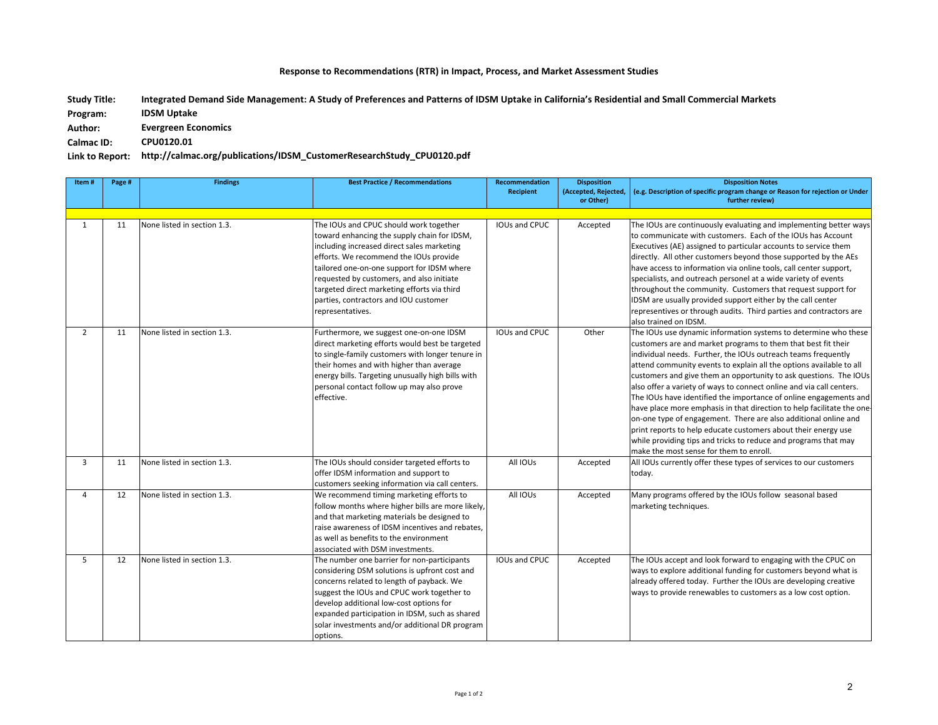## Response to Recommendations (RTR) in Impact, Process, and Market Assessment Studies

Integrated Demand Side Management: A Study of Preferences and Patterns of IDSM Uptake in California's Residential and Small Commercial Markets **Study Title:** 

**IDSM Uptake Program:** 

**Evergreen Economics** Author:

**CPU0120.01 Calmac ID:**

## Link to Report: http://calmac.org/publications/IDSM\_CustomerResearchStudy\_CPU0120.pdf

| Item#          | Page # | <b>Findings</b>             | <b>Best Practice / Recommendations</b>                                                                                                                                                                                                                                                                                                                                               | <b>Recommendation</b><br><b>Recipient</b> | <b>Disposition</b><br>(Accepted, Rejected,<br>or Other) | <b>Disposition Notes</b><br>(e.g. Description of specific program change or Reason for rejection or Under<br>further review)                                                                                                                                                                                                                                                                                                                                                                                                                                                                                                                                                                                                                                                                                            |
|----------------|--------|-----------------------------|--------------------------------------------------------------------------------------------------------------------------------------------------------------------------------------------------------------------------------------------------------------------------------------------------------------------------------------------------------------------------------------|-------------------------------------------|---------------------------------------------------------|-------------------------------------------------------------------------------------------------------------------------------------------------------------------------------------------------------------------------------------------------------------------------------------------------------------------------------------------------------------------------------------------------------------------------------------------------------------------------------------------------------------------------------------------------------------------------------------------------------------------------------------------------------------------------------------------------------------------------------------------------------------------------------------------------------------------------|
| $\mathbf{1}$   | 11     | None listed in section 1.3. | The IOUs and CPUC should work together<br>toward enhancing the supply chain for IDSM,<br>including increased direct sales marketing<br>efforts. We recommend the IOUs provide<br>tailored one-on-one support for IDSM where<br>requested by customers, and also initiate<br>targeted direct marketing efforts via third<br>parties, contractors and IOU customer<br>representatives. | IOUs and CPUC                             | Accepted                                                | The IOUs are continuously evaluating and implementing better ways<br>to communicate with customers. Each of the IOUs has Account<br>Executives (AE) assigned to particular accounts to service them<br>directly. All other customers beyond those supported by the AEs<br>have access to information via online tools, call center support,<br>specialists, and outreach personel at a wide variety of events<br>throughout the community. Customers that request support for<br>IDSM are usually provided support either by the call center<br>representives or through audits. Third parties and contractors are<br>also trained on IDSM.                                                                                                                                                                             |
| $\overline{2}$ | 11     | None listed in section 1.3. | Furthermore, we suggest one-on-one IDSM<br>direct marketing efforts would best be targeted<br>to single-family customers with longer tenure in<br>their homes and with higher than average<br>energy bills. Targeting unusually high bills with<br>personal contact follow up may also prove<br>effective.                                                                           | <b>IOUs and CPUC</b>                      | Other                                                   | The IOUs use dynamic information systems to determine who these<br>customers are and market programs to them that best fit their<br>individual needs. Further, the IOUs outreach teams frequently<br>attend community events to explain all the options available to all<br>customers and give them an opportunity to ask questions. The IOUs<br>also offer a variety of ways to connect online and via call centers.<br>The IOUs have identified the importance of online engagements and<br>have place more emphasis in that direction to help facilitate the one-<br>on-one type of engagement. There are also additional online and<br>print reports to help educate customers about their energy use<br>while providing tips and tricks to reduce and programs that may<br>make the most sense for them to enroll. |
| 3              | 11     | None listed in section 1.3. | The IOUs should consider targeted efforts to<br>offer IDSM information and support to<br>customers seeking information via call centers.                                                                                                                                                                                                                                             | All IOUs                                  | Accepted                                                | All IOUs currently offer these types of services to our customers<br>today.                                                                                                                                                                                                                                                                                                                                                                                                                                                                                                                                                                                                                                                                                                                                             |
| 4              | 12     | None listed in section 1.3. | We recommend timing marketing efforts to<br>follow months where higher bills are more likely,<br>and that marketing materials be designed to<br>raise awareness of IDSM incentives and rebates,<br>as well as benefits to the environment<br>associated with DSM investments.                                                                                                        | All IOUs                                  | Accepted                                                | Many programs offered by the IOUs follow seasonal based<br>marketing techniques.                                                                                                                                                                                                                                                                                                                                                                                                                                                                                                                                                                                                                                                                                                                                        |
| 5              | 12     | None listed in section 1.3. | The number one barrier for non-participants<br>considering DSM solutions is upfront cost and<br>concerns related to length of payback. We<br>suggest the IOUs and CPUC work together to<br>develop additional low-cost options for<br>expanded participation in IDSM, such as shared<br>solar investments and/or additional DR program<br>options.                                   | IOUs and CPUC                             | Accepted                                                | The IOUs accept and look forward to engaging with the CPUC on<br>ways to explore additional funding for customers beyond what is<br>already offered today. Further the IOUs are developing creative<br>ways to provide renewables to customers as a low cost option.                                                                                                                                                                                                                                                                                                                                                                                                                                                                                                                                                    |